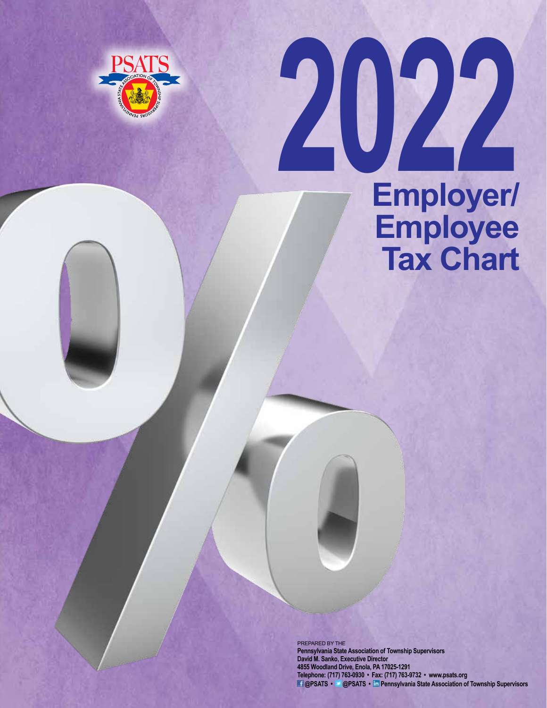

# **2022 Employer/ Employee Tax Chart**

PREPARED BY THE **Pennsylvania State Association of Township Supervisors David M. Sanko, Executive Director 4855 Woodland Drive, Enola, PA 17025-1291 Telephone: (717) 763-0930 • Fax: (717) 763-9732 • www.psats.org @PSATS • @PSATS • Pennsylvania State Association of Township Supervisors**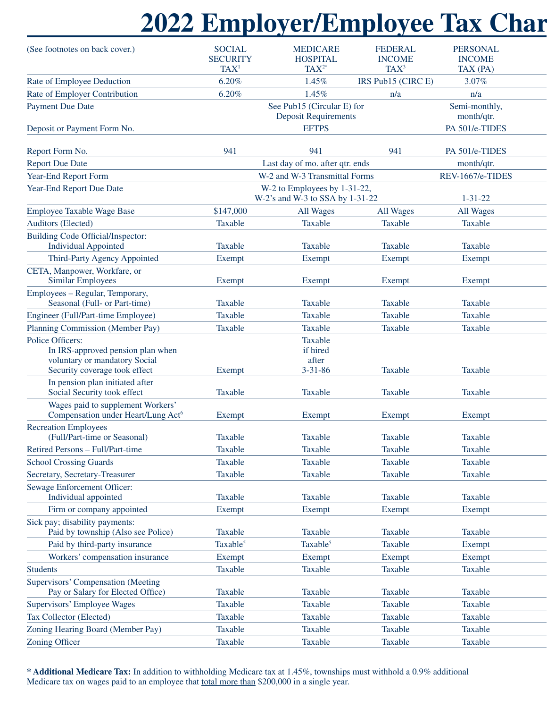# **2022 Employer/Employee Tax Chart**

| (See footnotes on back cover.)                                                                                          | <b>SOCIAL</b><br><b>SECURITY</b><br>TAX <sup>1</sup>            | <b>MEDICARE</b><br><b>HOSPITAL</b><br>$TAX^{2*}$          | <b>FEDERAL</b><br><b>INCOME</b><br>$TAX^3$ | <b>PERSONAL</b><br><b>INCOME</b><br>TAX (PA) |
|-------------------------------------------------------------------------------------------------------------------------|-----------------------------------------------------------------|-----------------------------------------------------------|--------------------------------------------|----------------------------------------------|
| Rate of Employee Deduction                                                                                              | 6.20%                                                           | 1.45%                                                     | IRS Pub15 (CIRC E)                         | 3.07%                                        |
| Rate of Employer Contribution                                                                                           | 6.20%                                                           | 1.45%                                                     | n/a                                        | n/a                                          |
| <b>Payment Due Date</b>                                                                                                 |                                                                 | See Pub15 (Circular E) for<br><b>Deposit Requirements</b> |                                            | Semi-monthly,<br>month/qtr.                  |
| Deposit or Payment Form No.                                                                                             |                                                                 | <b>EFTPS</b>                                              |                                            | PA 501/e-TIDES                               |
|                                                                                                                         |                                                                 |                                                           |                                            |                                              |
| Report Form No.                                                                                                         | 941                                                             | 941                                                       | 941                                        | PA 501/e-TIDES                               |
| <b>Report Due Date</b>                                                                                                  | Last day of mo. after qtr. ends                                 |                                                           |                                            | month/qtr.                                   |
| Year-End Report Form                                                                                                    | W-2 and W-3 Transmittal Forms                                   |                                                           |                                            | REV-1667/e-TIDES                             |
| Year-End Report Due Date                                                                                                | W-2 to Employees by 1-31-22,<br>W-2's and W-3 to SSA by 1-31-22 |                                                           |                                            | $1 - 31 - 22$                                |
| <b>Employee Taxable Wage Base</b>                                                                                       | \$147,000                                                       | All Wages                                                 | All Wages                                  | All Wages                                    |
| Auditors (Elected)                                                                                                      | Taxable                                                         | Taxable                                                   | Taxable                                    | Taxable                                      |
| Building Code Official/Inspector:                                                                                       |                                                                 |                                                           |                                            |                                              |
| <b>Individual Appointed</b>                                                                                             | Taxable                                                         | Taxable                                                   | Taxable                                    | Taxable                                      |
| Third-Party Agency Appointed                                                                                            | Exempt                                                          | Exempt                                                    | Exempt                                     | Exempt                                       |
| CETA, Manpower, Workfare, or<br><b>Similar Employees</b>                                                                | Exempt                                                          | Exempt                                                    | Exempt                                     | Exempt                                       |
| Employees - Regular, Temporary,<br>Seasonal (Full- or Part-time)                                                        | Taxable                                                         | Taxable                                                   | Taxable                                    | Taxable                                      |
| Engineer (Full/Part-time Employee)                                                                                      | Taxable                                                         | Taxable                                                   | Taxable                                    | Taxable                                      |
| Planning Commission (Member Pay)                                                                                        | Taxable                                                         | Taxable                                                   | Taxable                                    | Taxable                                      |
| Police Officers:<br>In IRS-approved pension plan when<br>voluntary or mandatory Social<br>Security coverage took effect | Exempt                                                          | Taxable<br>if hired<br>after<br>$3 - 31 - 86$             | Taxable                                    | Taxable                                      |
| In pension plan initiated after<br>Social Security took effect                                                          | Taxable                                                         | Taxable                                                   | Taxable                                    | Taxable                                      |
| Wages paid to supplement Workers'<br>Compensation under Heart/Lung Act <sup>6</sup>                                     | Exempt                                                          | Exempt                                                    | Exempt                                     | Exempt                                       |
| <b>Recreation Employees</b><br>(Full/Part-time or Seasonal)                                                             | Taxable                                                         | Taxable                                                   | Taxable                                    | Taxable                                      |
| Retired Persons - Full/Part-time                                                                                        | Taxable                                                         | Taxable                                                   | Taxable                                    | Taxable                                      |
| <b>School Crossing Guards</b>                                                                                           | Taxable                                                         | Taxable                                                   | Taxable                                    | Taxable                                      |
| Secretary, Secretary-Treasurer                                                                                          | Taxable                                                         | Taxable                                                   | Taxable                                    | Taxable                                      |
| Sewage Enforcement Officer:<br>Individual appointed                                                                     | Taxable                                                         | Taxable                                                   | Taxable                                    | Taxable                                      |
| Firm or company appointed                                                                                               | Exempt                                                          | Exempt                                                    | Exempt                                     | Exempt                                       |
| Sick pay; disability payments:<br>Paid by township (Also see Police)                                                    | Taxable                                                         | Taxable                                                   | Taxable                                    | Taxable                                      |
|                                                                                                                         | Taxable <sup>5</sup>                                            | Taxable <sup>5</sup>                                      |                                            |                                              |
| Paid by third-party insurance                                                                                           |                                                                 |                                                           | Taxable                                    | Exempt                                       |
| Workers' compensation insurance                                                                                         | Exempt                                                          | Exempt                                                    | Exempt                                     | Exempt                                       |
| Students                                                                                                                | Taxable                                                         | Taxable                                                   | Taxable                                    | Taxable                                      |
| Supervisors' Compensation (Meeting<br>Pay or Salary for Elected Office)                                                 | Taxable                                                         | Taxable                                                   | Taxable                                    | Taxable                                      |
| Supervisors' Employee Wages                                                                                             | Taxable                                                         | Taxable                                                   | Taxable                                    | Taxable                                      |
| Tax Collector (Elected)                                                                                                 | Taxable                                                         | Taxable                                                   | Taxable                                    | Taxable                                      |
| Zoning Hearing Board (Member Pay)                                                                                       | Taxable                                                         | Taxable                                                   | Taxable                                    | Taxable                                      |
| Zoning Officer                                                                                                          | Taxable                                                         | Taxable                                                   | Taxable                                    | Taxable                                      |
|                                                                                                                         |                                                                 |                                                           |                                            |                                              |

**\* Additional Medicare Tax:** In addition to withholding Medicare tax at 1.45%, townships must withhold a 0.9% additional Medicare tax on wages paid to an employee that total more than \$200,000 in a single year.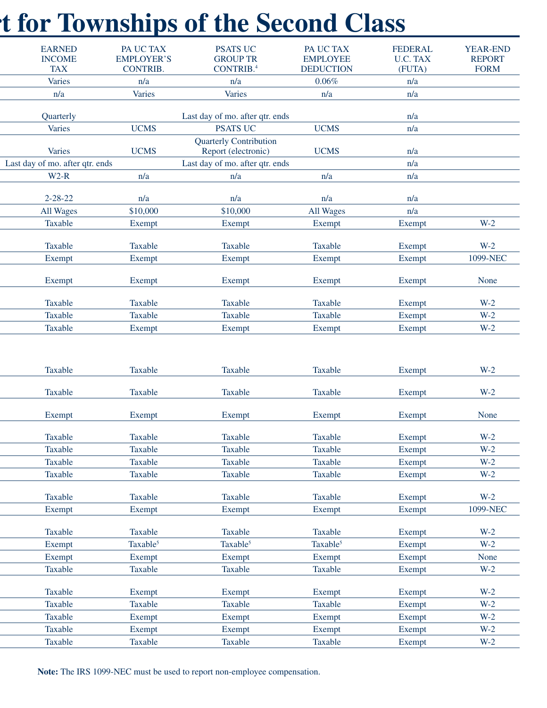# **21 for Townships of the Second Class**

| <b>EARNED</b><br><b>INCOME</b>  | PA UC TAX<br><b>EMPLOYER'S</b> | <b>PSATS UC</b><br><b>GROUP TR</b>                   | PA UC TAX<br><b>EMPLOYEE</b> | <b>FEDERAL</b><br>U.C. TAX | <b>YEAR-END</b><br><b>REPORT</b> |
|---------------------------------|--------------------------------|------------------------------------------------------|------------------------------|----------------------------|----------------------------------|
| <b>TAX</b>                      | <b>CONTRIB.</b>                | CONTRIB. <sup>4</sup>                                | <b>DEDUCTION</b>             | (FUTA)                     | <b>FORM</b>                      |
| Varies                          | n/a                            | n/a                                                  | $0.06\%$                     | n/a                        |                                  |
| n/a                             | Varies                         | Varies                                               | n/a                          | n/a                        |                                  |
| Quarterly                       |                                | Last day of mo. after qtr. ends                      |                              | n/a                        |                                  |
| Varies                          | <b>UCMS</b>                    | <b>PSATS UC</b>                                      | <b>UCMS</b>                  | n/a                        |                                  |
| Varies                          | <b>UCMS</b>                    | <b>Quarterly Contribution</b><br>Report (electronic) | <b>UCMS</b>                  | n/a                        |                                  |
| Last day of mo. after qtr. ends |                                | Last day of mo. after qtr. ends                      |                              | n/a                        |                                  |
| $W2-R$                          | n/a                            | n/a                                                  | n/a                          | n/a                        |                                  |
|                                 |                                |                                                      |                              |                            |                                  |
| $2 - 28 - 22$<br>All Wages      | n/a<br>\$10,000                | n/a<br>\$10,000                                      | n/a<br>All Wages             | n/a<br>n/a                 |                                  |
| Taxable                         | Exempt                         | Exempt                                               | Exempt                       | Exempt                     | $W-2$                            |
|                                 |                                |                                                      |                              |                            |                                  |
| Taxable                         | Taxable                        | Taxable                                              | Taxable                      | Exempt                     | $W-2$                            |
| Exempt                          | Exempt                         | Exempt                                               | Exempt                       | Exempt                     | 1099-NEC                         |
| Exempt                          | Exempt                         | Exempt                                               | Exempt                       | Exempt                     | None                             |
| Taxable                         | Taxable                        | Taxable                                              | Taxable                      | Exempt                     | $W-2$                            |
| Taxable                         | Taxable                        | Taxable                                              | Taxable                      | Exempt                     | $W-2$                            |
| Taxable                         | Exempt                         | Exempt                                               | Exempt                       | Exempt                     | $W-2$                            |
| Taxable                         | Taxable                        | Taxable                                              | Taxable                      | Exempt                     | $W-2$                            |
| Taxable                         | Taxable                        | Taxable                                              | Taxable                      | Exempt                     | $W-2$                            |
| Exempt                          | Exempt                         | Exempt                                               | Exempt                       | Exempt                     | None                             |
| Taxable                         | Taxable                        | Taxable                                              | Taxable                      | Exempt                     | $W-2$                            |
| Taxable                         | Taxable                        | Taxable                                              | Taxable                      | Exempt                     | $W-2$                            |
| Taxable                         | Taxable                        | Taxable                                              | Taxable                      | Exempt                     | $W-2$                            |
| Taxable                         | Taxable                        | Taxable                                              | Taxable                      | Exempt                     | $W-2$                            |
| Taxable                         | Taxable                        | Taxable                                              | Taxable                      | Exempt                     | $W-2$                            |
| Exempt                          | Exempt                         | Exempt                                               | Exempt                       | Exempt                     | 1099-NEC                         |
| Taxable                         | Taxable                        | Taxable                                              | Taxable                      | Exempt                     | $W-2$                            |
| Exempt                          | Taxable <sup>5</sup>           | Taxable <sup>5</sup>                                 | Taxable <sup>5</sup>         | Exempt                     | $W-2$                            |
| Exempt                          | Exempt                         | Exempt                                               | Exempt                       | Exempt                     | None                             |
| Taxable                         | Taxable                        | Taxable                                              | Taxable                      | Exempt                     | $W-2$                            |
| Taxable                         | Exempt                         | Exempt                                               | Exempt                       | Exempt                     | $W-2$                            |
| Taxable                         | Taxable                        | Taxable                                              | Taxable                      | Exempt                     | $W-2$                            |
| Taxable                         | Exempt                         | Exempt                                               | Exempt                       | Exempt                     | $W-2$                            |
| Taxable                         | Exempt                         | Exempt                                               | Exempt                       | Exempt                     | $W-2$                            |

Zoning Officer Taxable Taxable Taxable Taxable Taxable Taxable Taxable Taxable Exempt W-2